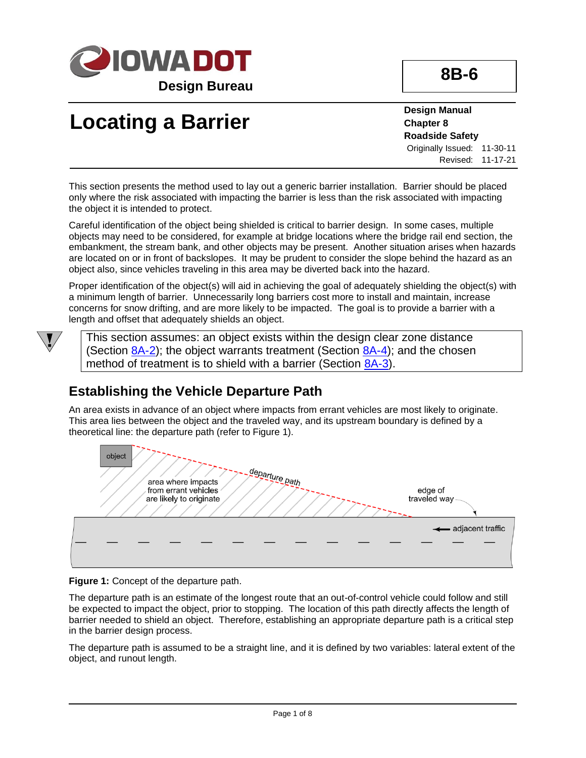

**Design Bureau**

# **Locating a Barrier**

**Design Manual Chapter 8 Roadside Safety** Originally Issued: 11-30-11

Revised: 11-17-21

This section presents the method used to lay out a generic barrier installation. Barrier should be placed only where the risk associated with impacting the barrier is less than the risk associated with impacting the object it is intended to protect.

Careful identification of the object being shielded is critical to barrier design. In some cases, multiple objects may need to be considered, for example at bridge locations where the bridge rail end section, the embankment, the stream bank, and other objects may be present. Another situation arises when hazards are located on or in front of backslopes. It may be prudent to consider the slope behind the hazard as an object also, since vehicles traveling in this area may be diverted back into the hazard.

Proper identification of the object(s) will aid in achieving the goal of adequately shielding the object(s) with a minimum length of barrier. Unnecessarily long barriers cost more to install and maintain, increase concerns for snow drifting, and are more likely to be impacted. The goal is to provide a barrier with a length and offset that adequately shields an object.



This section assumes: an object exists within the design clear zone distance (Section  $\underline{8A-2}$ ); the object warrants treatment (Section  $\underline{8A-4}$ ); and the chosen method of treatment is to shield with a barrier (Section [8A-3\)](08a-03.pdf).

# **Establishing the Vehicle Departure Path**

An area exists in advance of an object where impacts from errant vehicles are most likely to originate. This area lies between the object and the traveled way, and its upstream boundary is defined by a theoretical line: the departure path (refer to Figure 1).



**Figure 1:** Concept of the departure path.

The departure path is an estimate of the longest route that an out-of-control vehicle could follow and still be expected to impact the object, prior to stopping. The location of this path directly affects the length of barrier needed to shield an object. Therefore, establishing an appropriate departure path is a critical step in the barrier design process.

The departure path is assumed to be a straight line, and it is defined by two variables: lateral extent of the object, and runout length.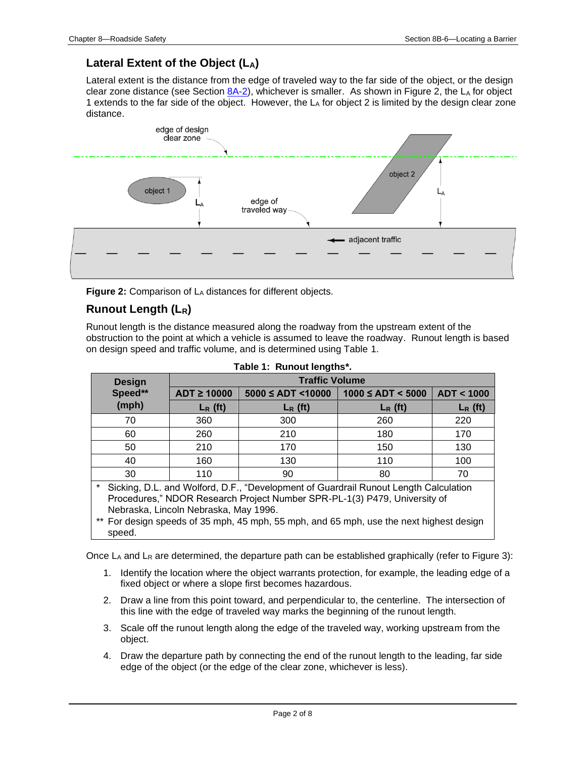## **Lateral Extent of the Object (LA)**

Lateral extent is the distance from the edge of traveled way to the far side of the object, or the design clear zone distance (see Section  $8A-2$ ), whichever is smaller. As shown in Figure 2, the LA for object 1 extends to the far side of the object. However, the  $L_A$  for object 2 is limited by the design clear zone distance.



Figure 2: Comparison of L<sub>A</sub> distances for different objects.

## **Runout Length (LR)**

Runout length is the distance measured along the roadway from the upstream extent of the obstruction to the point at which a vehicle is assumed to leave the roadway. Runout length is based on design speed and traffic volume, and is determined using Table 1.

| <b>Design</b><br>Speed**                                                                                                                                                                                                                                                                              | <b>Traffic Volume</b> |                            |                        |            |  |
|-------------------------------------------------------------------------------------------------------------------------------------------------------------------------------------------------------------------------------------------------------------------------------------------------------|-----------------------|----------------------------|------------------------|------------|--|
|                                                                                                                                                                                                                                                                                                       | $ADT \geq 10000$      | $5000 \leq ADT \leq 10000$ | $1000 \leq ADT < 5000$ | ADT < 1000 |  |
| (mph)                                                                                                                                                                                                                                                                                                 | $L_R$ (ft)            | $L_R$ (ft)                 | $L_R$ (ft)             | $L_R$ (ft) |  |
| 70                                                                                                                                                                                                                                                                                                    | 360                   | 300                        | 260                    | 220        |  |
| 60                                                                                                                                                                                                                                                                                                    | 260                   | 210                        | 180                    | 170        |  |
| 50                                                                                                                                                                                                                                                                                                    | 210                   | 170                        | 150                    | 130        |  |
| 40                                                                                                                                                                                                                                                                                                    | 160                   | 130                        | 110                    | 100        |  |
| 30                                                                                                                                                                                                                                                                                                    | 110                   | 90                         | 80                     | 70         |  |
| Sicking, D.L. and Wolford, D.F., "Development of Guardrail Runout Length Calculation<br>Procedures," NDOR Research Project Number SPR-PL-1(3) P479, University of<br>Nebraska, Lincoln Nebraska, May 1996.<br>** For design speeds of 35 mph, 45 mph, 55 mph, and 65 mph, use the next highest design |                       |                            |                        |            |  |
| speed.                                                                                                                                                                                                                                                                                                |                       |                            |                        |            |  |

|  |  | Table 1: Runout lengths*. |
|--|--|---------------------------|
|--|--|---------------------------|

Once  $L_A$  and  $L_R$  are determined, the departure path can be established graphically (refer to Figure 3):

- 1. Identify the location where the object warrants protection, for example, the leading edge of a fixed object or where a slope first becomes hazardous.
- 2. Draw a line from this point toward, and perpendicular to, the centerline. The intersection of this line with the edge of traveled way marks the beginning of the runout length.
- 3. Scale off the runout length along the edge of the traveled way, working upstream from the object.
- 4. Draw the departure path by connecting the end of the runout length to the leading, far side edge of the object (or the edge of the clear zone, whichever is less).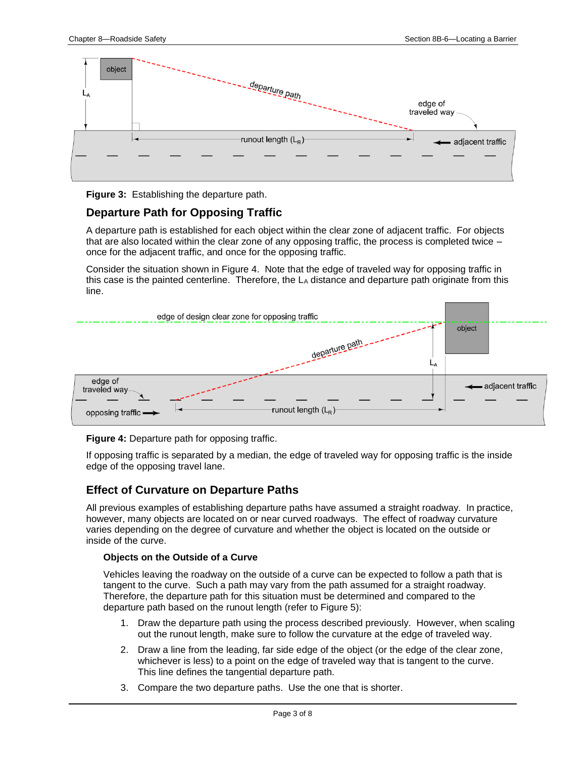

**Figure 3:** Establishing the departure path.

### **Departure Path for Opposing Traffic**

A departure path is established for each object within the clear zone of adjacent traffic. For objects that are also located within the clear zone of any opposing traffic, the process is completed twice – once for the adjacent traffic, and once for the opposing traffic.

Consider the situation shown in Figure 4. Note that the edge of traveled way for opposing traffic in this case is the painted centerline. Therefore, the L<sup>A</sup> distance and departure path originate from this line.



#### **Figure 4:** Departure path for opposing traffic.

If opposing traffic is separated by a median, the edge of traveled way for opposing traffic is the inside edge of the opposing travel lane.

#### **Effect of Curvature on Departure Paths**

All previous examples of establishing departure paths have assumed a straight roadway. In practice, however, many objects are located on or near curved roadways. The effect of roadway curvature varies depending on the degree of curvature and whether the object is located on the outside or inside of the curve.

#### **Objects on the Outside of a Curve**

Vehicles leaving the roadway on the outside of a curve can be expected to follow a path that is tangent to the curve. Such a path may vary from the path assumed for a straight roadway. Therefore, the departure path for this situation must be determined and compared to the departure path based on the runout length (refer to Figure 5):

- 1. Draw the departure path using the process described previously. However, when scaling out the runout length, make sure to follow the curvature at the edge of traveled way.
- 2. Draw a line from the leading, far side edge of the object (or the edge of the clear zone, whichever is less) to a point on the edge of traveled way that is tangent to the curve. This line defines the tangential departure path.
- 3. Compare the two departure paths. Use the one that is shorter.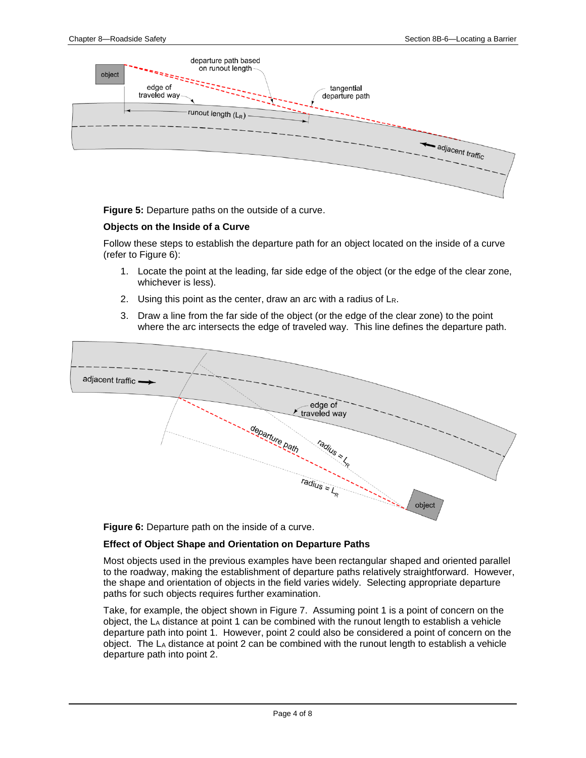

**Figure 5:** Departure paths on the outside of a curve.

#### **Objects on the Inside of a Curve**

Follow these steps to establish the departure path for an object located on the inside of a curve (refer to Figure 6):

- 1. Locate the point at the leading, far side edge of the object (or the edge of the clear zone, whichever is less).
- 2. Using this point as the center, draw an arc with a radius of LR.
- 3. Draw a line from the far side of the object (or the edge of the clear zone) to the point where the arc intersects the edge of traveled way. This line defines the departure path.



**Figure 6:** Departure path on the inside of a curve.

#### **Effect of Object Shape and Orientation on Departure Paths**

Most objects used in the previous examples have been rectangular shaped and oriented parallel to the roadway, making the establishment of departure paths relatively straightforward. However, the shape and orientation of objects in the field varies widely. Selecting appropriate departure paths for such objects requires further examination.

Take, for example, the object shown in Figure 7. Assuming point 1 is a point of concern on the object, the  $L<sub>A</sub>$  distance at point 1 can be combined with the runout length to establish a vehicle departure path into point 1. However, point 2 could also be considered a point of concern on the object. The L<sup>A</sup> distance at point 2 can be combined with the runout length to establish a vehicle departure path into point 2.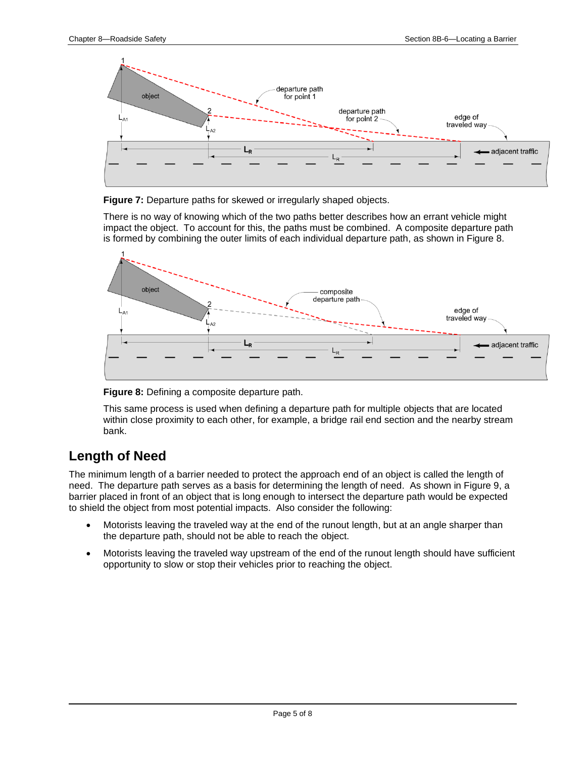

**Figure 7:** Departure paths for skewed or irregularly shaped objects.

There is no way of knowing which of the two paths better describes how an errant vehicle might impact the object. To account for this, the paths must be combined. A composite departure path is formed by combining the outer limits of each individual departure path, as shown in Figure 8.



**Figure 8:** Defining a composite departure path.

This same process is used when defining a departure path for multiple objects that are located within close proximity to each other, for example, a bridge rail end section and the nearby stream bank.

# **Length of Need**

The minimum length of a barrier needed to protect the approach end of an object is called the length of need. The departure path serves as a basis for determining the length of need. As shown in Figure 9, a barrier placed in front of an object that is long enough to intersect the departure path would be expected to shield the object from most potential impacts. Also consider the following:

- Motorists leaving the traveled way at the end of the runout length, but at an angle sharper than the departure path, should not be able to reach the object.
- Motorists leaving the traveled way upstream of the end of the runout length should have sufficient opportunity to slow or stop their vehicles prior to reaching the object.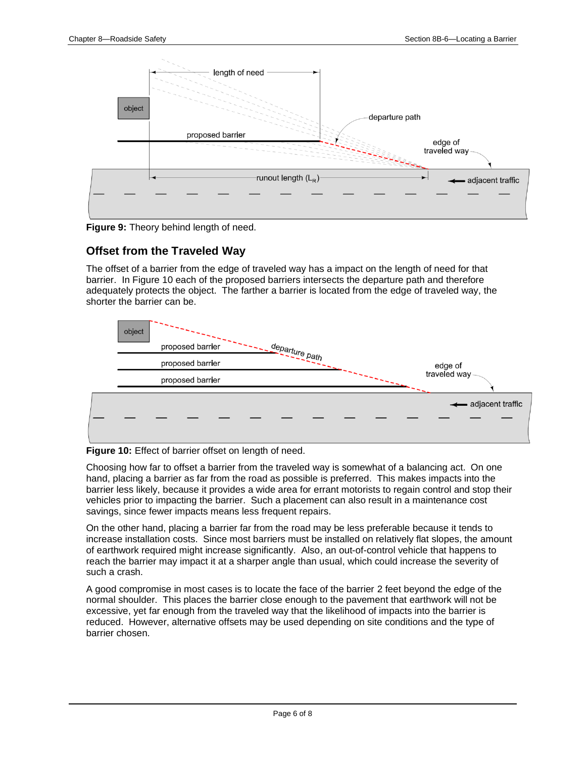

**Figure 9:** Theory behind length of need.

## **Offset from the Traveled Way**

The offset of a barrier from the edge of traveled way has a impact on the length of need for that barrier. In Figure 10 each of the proposed barriers intersects the departure path and therefore adequately protects the object. The farther a barrier is located from the edge of traveled way, the shorter the barrier can be.



**Figure 10:** Effect of barrier offset on length of need.

Choosing how far to offset a barrier from the traveled way is somewhat of a balancing act. On one hand, placing a barrier as far from the road as possible is preferred. This makes impacts into the barrier less likely, because it provides a wide area for errant motorists to regain control and stop their vehicles prior to impacting the barrier. Such a placement can also result in a maintenance cost savings, since fewer impacts means less frequent repairs.

On the other hand, placing a barrier far from the road may be less preferable because it tends to increase installation costs. Since most barriers must be installed on relatively flat slopes, the amount of earthwork required might increase significantly. Also, an out-of-control vehicle that happens to reach the barrier may impact it at a sharper angle than usual, which could increase the severity of such a crash.

A good compromise in most cases is to locate the face of the barrier 2 feet beyond the edge of the normal shoulder. This places the barrier close enough to the pavement that earthwork will not be excessive, yet far enough from the traveled way that the likelihood of impacts into the barrier is reduced. However, alternative offsets may be used depending on site conditions and the type of barrier chosen.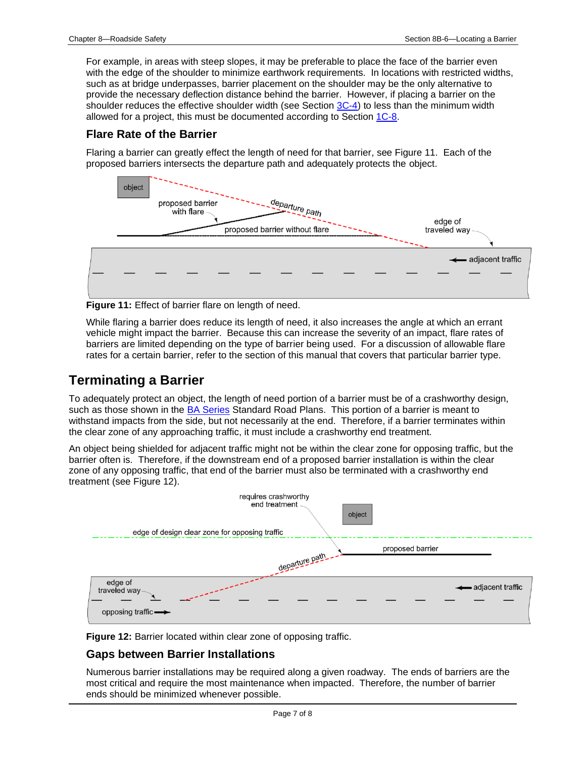For example, in areas with steep slopes, it may be preferable to place the face of the barrier even with the edge of the shoulder to minimize earthwork requirements. In locations with restricted widths, such as at bridge underpasses, barrier placement on the shoulder may be the only alternative to provide the necessary deflection distance behind the barrier. However, if placing a barrier on the shoulder reduces the effective shoulder width (see Section [3C-4\)](03c-04.pdf) to less than the minimum width allowed for a project, this must be documented according to Section [1C-8.](01c-08.pdf)

### **Flare Rate of the Barrier**

Flaring a barrier can greatly effect the length of need for that barrier, see Figure 11. Each of the proposed barriers intersects the departure path and adequately protects the object.



**Figure 11:** Effect of barrier flare on length of need.

While flaring a barrier does reduce its length of need, it also increases the angle at which an errant vehicle might impact the barrier. Because this can increase the severity of an impact, flare rates of barriers are limited depending on the type of barrier being used. For a discussion of allowable flare rates for a certain barrier, refer to the section of this manual that covers that particular barrier type.

# **Terminating a Barrier**

To adequately protect an object, the length of need portion of a barrier must be of a crashworthy design, such as those shown in the **BA Series** Standard Road Plans. This portion of a barrier is meant to withstand impacts from the side, but not necessarily at the end. Therefore, if a barrier terminates within the clear zone of any approaching traffic, it must include a crashworthy end treatment.

An object being shielded for adjacent traffic might not be within the clear zone for opposing traffic, but the barrier often is. Therefore, if the downstream end of a proposed barrier installation is within the clear zone of any opposing traffic, that end of the barrier must also be terminated with a crashworthy end treatment (see Figure 12).



**Figure 12:** Barrier located within clear zone of opposing traffic.

## **Gaps between Barrier Installations**

Numerous barrier installations may be required along a given roadway. The ends of barriers are the most critical and require the most maintenance when impacted. Therefore, the number of barrier ends should be minimized whenever possible.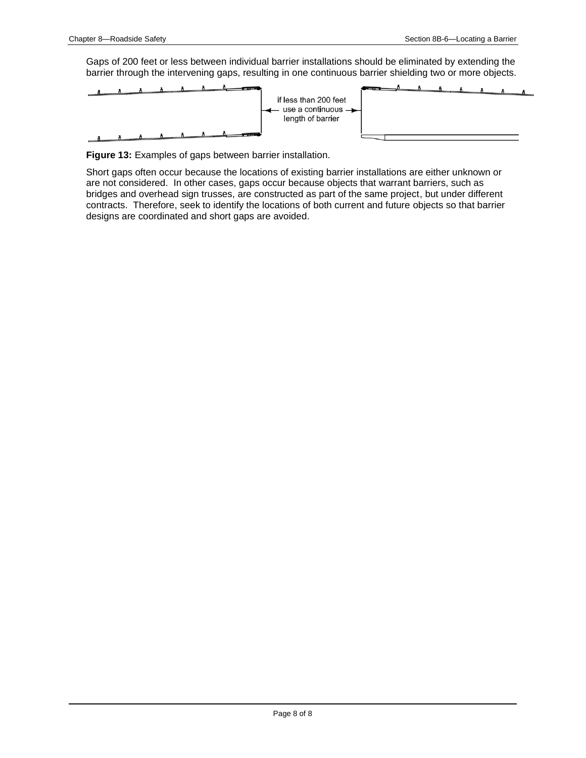Gaps of 200 feet or less between individual barrier installations should be eliminated by extending the barrier through the intervening gaps, resulting in one continuous barrier shielding two or more objects.



**Figure 13:** Examples of gaps between barrier installation.

Short gaps often occur because the locations of existing barrier installations are either unknown or are not considered. In other cases, gaps occur because objects that warrant barriers, such as bridges and overhead sign trusses, are constructed as part of the same project, but under different contracts. Therefore, seek to identify the locations of both current and future objects so that barrier designs are coordinated and short gaps are avoided.